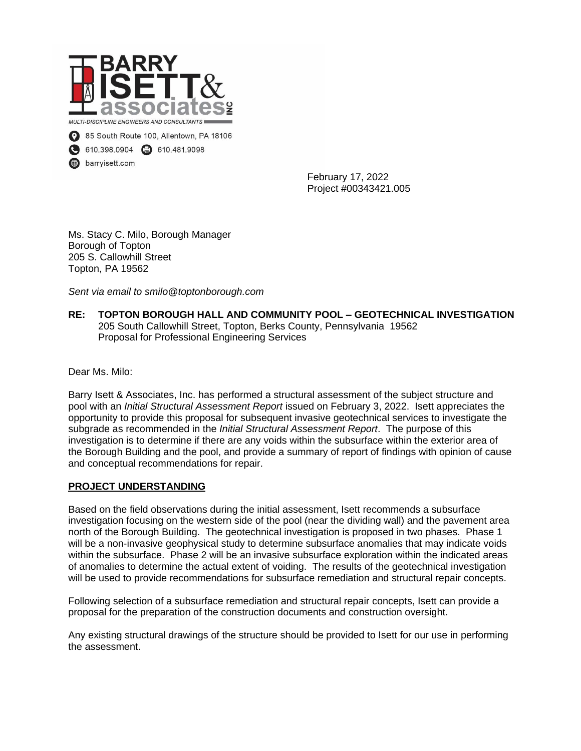

February 17, 2022 Project #00343421.005

Ms. Stacy C. Milo, Borough Manager Borough of Topton 205 S. Callowhill Street Topton, PA 19562

*Sent via email to smilo@toptonborough.com*

**RE: TOPTON BOROUGH HALL AND COMMUNITY POOL – GEOTECHNICAL INVESTIGATION** 205 South Callowhill Street, Topton, Berks County, Pennsylvania 19562 Proposal for Professional Engineering Services

Dear Ms. Milo:

Barry Isett & Associates, Inc. has performed a structural assessment of the subject structure and pool with an *Initial Structural Assessment Report* issued on February 3, 2022. Isett appreciates the opportunity to provide this proposal for subsequent invasive geotechnical services to investigate the subgrade as recommended in the *Initial Structural Assessment Report*. The purpose of this investigation is to determine if there are any voids within the subsurface within the exterior area of the Borough Building and the pool, and provide a summary of report of findings with opinion of cause and conceptual recommendations for repair.

### **PROJECT UNDERSTANDING**

Based on the field observations during the initial assessment, Isett recommends a subsurface investigation focusing on the western side of the pool (near the dividing wall) and the pavement area north of the Borough Building. The geotechnical investigation is proposed in two phases. Phase 1 will be a non-invasive geophysical study to determine subsurface anomalies that may indicate voids within the subsurface. Phase 2 will be an invasive subsurface exploration within the indicated areas of anomalies to determine the actual extent of voiding. The results of the geotechnical investigation will be used to provide recommendations for subsurface remediation and structural repair concepts.

Following selection of a subsurface remediation and structural repair concepts, Isett can provide a proposal for the preparation of the construction documents and construction oversight.

Any existing structural drawings of the structure should be provided to Isett for our use in performing the assessment.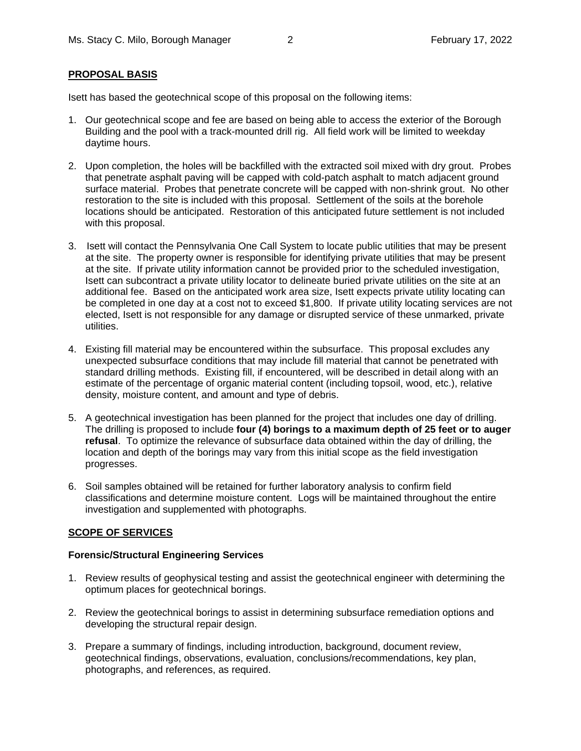### **PROPOSAL BASIS**

Isett has based the geotechnical scope of this proposal on the following items:

- 1. Our geotechnical scope and fee are based on being able to access the exterior of the Borough Building and the pool with a track-mounted drill rig. All field work will be limited to weekday daytime hours.
- 2. Upon completion, the holes will be backfilled with the extracted soil mixed with dry grout. Probes that penetrate asphalt paving will be capped with cold-patch asphalt to match adjacent ground surface material. Probes that penetrate concrete will be capped with non-shrink grout. No other restoration to the site is included with this proposal. Settlement of the soils at the borehole locations should be anticipated. Restoration of this anticipated future settlement is not included with this proposal.
- 3. Isett will contact the Pennsylvania One Call System to locate public utilities that may be present at the site. The property owner is responsible for identifying private utilities that may be present at the site. If private utility information cannot be provided prior to the scheduled investigation, Isett can subcontract a private utility locator to delineate buried private utilities on the site at an additional fee. Based on the anticipated work area size, Isett expects private utility locating can be completed in one day at a cost not to exceed \$1,800. If private utility locating services are not elected, Isett is not responsible for any damage or disrupted service of these unmarked, private utilities.
- 4. Existing fill material may be encountered within the subsurface. This proposal excludes any unexpected subsurface conditions that may include fill material that cannot be penetrated with standard drilling methods. Existing fill, if encountered, will be described in detail along with an estimate of the percentage of organic material content (including topsoil, wood, etc.), relative density, moisture content, and amount and type of debris.
- 5. A geotechnical investigation has been planned for the project that includes one day of drilling. The drilling is proposed to include **four (4) borings to a maximum depth of 25 feet or to auger refusal**. To optimize the relevance of subsurface data obtained within the day of drilling, the location and depth of the borings may vary from this initial scope as the field investigation progresses.
- 6. Soil samples obtained will be retained for further laboratory analysis to confirm field classifications and determine moisture content. Logs will be maintained throughout the entire investigation and supplemented with photographs.

### **SCOPE OF SERVICES**

### **Forensic/Structural Engineering Services**

- 1. Review results of geophysical testing and assist the geotechnical engineer with determining the optimum places for geotechnical borings.
- 2. Review the geotechnical borings to assist in determining subsurface remediation options and developing the structural repair design.
- 3. Prepare a summary of findings, including introduction, background, document review, geotechnical findings, observations, evaluation, conclusions/recommendations, key plan, photographs, and references, as required.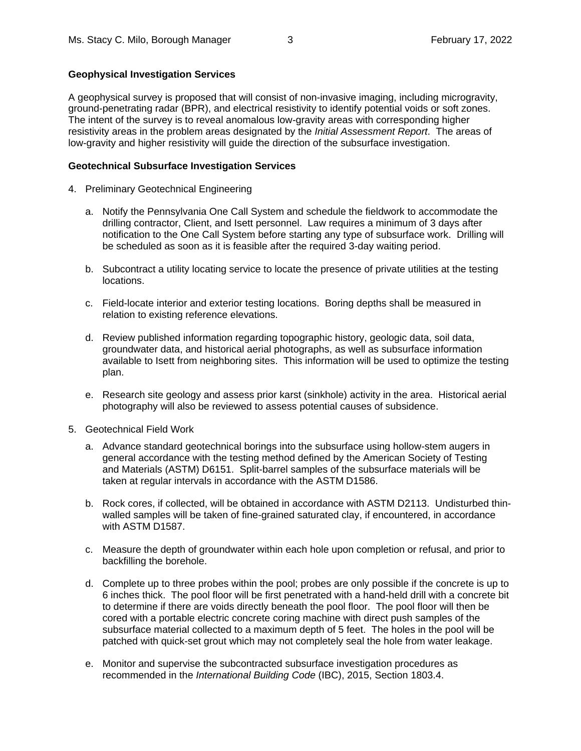### **Geophysical Investigation Services**

A geophysical survey is proposed that will consist of non-invasive imaging, including microgravity, ground-penetrating radar (BPR), and electrical resistivity to identify potential voids or soft zones. The intent of the survey is to reveal anomalous low-gravity areas with corresponding higher resistivity areas in the problem areas designated by the *Initial Assessment Report*. The areas of low-gravity and higher resistivity will guide the direction of the subsurface investigation.

### **Geotechnical Subsurface Investigation Services**

- 4. Preliminary Geotechnical Engineering
	- a. Notify the Pennsylvania One Call System and schedule the fieldwork to accommodate the drilling contractor, Client, and Isett personnel. Law requires a minimum of 3 days after notification to the One Call System before starting any type of subsurface work. Drilling will be scheduled as soon as it is feasible after the required 3-day waiting period.
	- b. Subcontract a utility locating service to locate the presence of private utilities at the testing locations.
	- c. Field-locate interior and exterior testing locations. Boring depths shall be measured in relation to existing reference elevations.
	- d. Review published information regarding topographic history, geologic data, soil data, groundwater data, and historical aerial photographs, as well as subsurface information available to Isett from neighboring sites. This information will be used to optimize the testing plan.
	- e. Research site geology and assess prior karst (sinkhole) activity in the area. Historical aerial photography will also be reviewed to assess potential causes of subsidence.
- 5. Geotechnical Field Work
	- a. Advance standard geotechnical borings into the subsurface using hollow-stem augers in general accordance with the testing method defined by the American Society of Testing and Materials (ASTM) D6151. Split-barrel samples of the subsurface materials will be taken at regular intervals in accordance with the ASTM D1586.
	- b. Rock cores, if collected, will be obtained in accordance with ASTM D2113. Undisturbed thinwalled samples will be taken of fine-grained saturated clay, if encountered, in accordance with ASTM D1587.
	- c. Measure the depth of groundwater within each hole upon completion or refusal, and prior to backfilling the borehole.
	- d. Complete up to three probes within the pool; probes are only possible if the concrete is up to 6 inches thick. The pool floor will be first penetrated with a hand-held drill with a concrete bit to determine if there are voids directly beneath the pool floor. The pool floor will then be cored with a portable electric concrete coring machine with direct push samples of the subsurface material collected to a maximum depth of 5 feet. The holes in the pool will be patched with quick-set grout which may not completely seal the hole from water leakage.
	- e. Monitor and supervise the subcontracted subsurface investigation procedures as recommended in the *International Building Code* (IBC), 2015, Section 1803.4.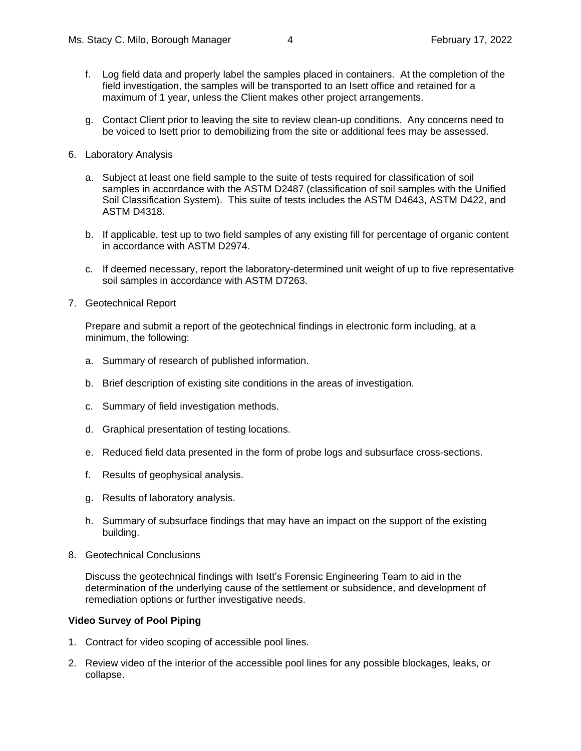- f. Log field data and properly label the samples placed in containers. At the completion of the field investigation, the samples will be transported to an Isett office and retained for a maximum of 1 year, unless the Client makes other project arrangements.
- g. Contact Client prior to leaving the site to review clean-up conditions. Any concerns need to be voiced to Isett prior to demobilizing from the site or additional fees may be assessed.
- 6. Laboratory Analysis
	- a. Subject at least one field sample to the suite of tests required for classification of soil samples in accordance with the ASTM D2487 (classification of soil samples with the Unified Soil Classification System). This suite of tests includes the ASTM D4643, ASTM D422, and ASTM D4318.
	- b. If applicable, test up to two field samples of any existing fill for percentage of organic content in accordance with ASTM D2974.
	- c. If deemed necessary, report the laboratory-determined unit weight of up to five representative soil samples in accordance with ASTM D7263.
- 7. Geotechnical Report

Prepare and submit a report of the geotechnical findings in electronic form including, at a minimum, the following:

- a. Summary of research of published information.
- b. Brief description of existing site conditions in the areas of investigation.
- c. Summary of field investigation methods.
- d. Graphical presentation of testing locations.
- e. Reduced field data presented in the form of probe logs and subsurface cross-sections.
- f. Results of geophysical analysis.
- g. Results of laboratory analysis.
- h. Summary of subsurface findings that may have an impact on the support of the existing building.
- 8. Geotechnical Conclusions

Discuss the geotechnical findings with Isett's Forensic Engineering Team to aid in the determination of the underlying cause of the settlement or subsidence, and development of remediation options or further investigative needs.

### **Video Survey of Pool Piping**

- 1. Contract for video scoping of accessible pool lines.
- 2. Review video of the interior of the accessible pool lines for any possible blockages, leaks, or collapse.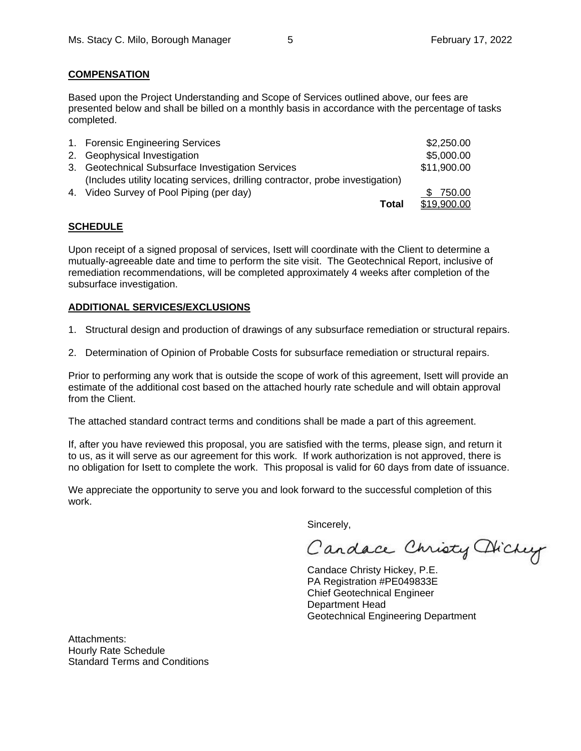## **COMPENSATION**

Based upon the Project Understanding and Scope of Services outlined above, our fees are presented below and shall be billed on a monthly basis in accordance with the percentage of tasks completed.

| 1. Forensic Engineering Services                                               | \$2,250.00  |
|--------------------------------------------------------------------------------|-------------|
| 2. Geophysical Investigation                                                   | \$5,000.00  |
| 3. Geotechnical Subsurface Investigation Services                              | \$11,900.00 |
| (Includes utility locating services, drilling contractor, probe investigation) |             |
| 4. Video Survey of Pool Piping (per day)                                       | 750.00      |
| Total                                                                          | \$19,900.00 |

### **SCHEDULE**

Upon receipt of a signed proposal of services, Isett will coordinate with the Client to determine a mutually-agreeable date and time to perform the site visit. The Geotechnical Report, inclusive of remediation recommendations, will be completed approximately 4 weeks after completion of the subsurface investigation.

## **ADDITIONAL SERVICES/EXCLUSIONS**

- 1. Structural design and production of drawings of any subsurface remediation or structural repairs.
- 2. Determination of Opinion of Probable Costs for subsurface remediation or structural repairs.

Prior to performing any work that is outside the scope of work of this agreement, Isett will provide an estimate of the additional cost based on the attached hourly rate schedule and will obtain approval from the Client.

The attached standard contract terms and conditions shall be made a part of this agreement.

If, after you have reviewed this proposal, you are satisfied with the terms, please sign, and return it to us, as it will serve as our agreement for this work. If work authorization is not approved, there is no obligation for Isett to complete the work. This proposal is valid for 60 days from date of issuance.

We appreciate the opportunity to serve you and look forward to the successful completion of this work.

Sincerely,

Candace Christy Dichey

Candace Christy Hickey, P.E. PA Registration #PE049833E Chief Geotechnical Engineer Department Head Geotechnical Engineering Department

Attachments: Hourly Rate Schedule Standard Terms and Conditions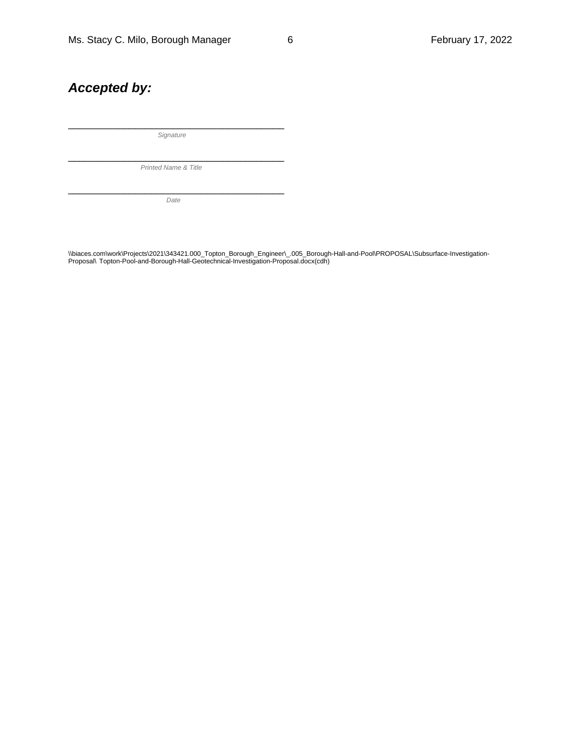# *Accepted by:*

\_\_\_\_\_\_\_\_\_\_\_\_\_\_\_\_\_\_\_\_\_\_\_\_\_\_\_\_\_\_\_\_\_\_\_\_\_\_\_ *Signature*

\_\_\_\_\_\_\_\_\_\_\_\_\_\_\_\_\_\_\_\_\_\_\_\_\_\_\_\_\_\_\_\_\_\_\_\_\_\_\_ *Printed Name & Title*

\_\_\_\_\_\_\_\_\_\_\_\_\_\_\_\_\_\_\_\_\_\_\_\_\_\_\_\_\_\_\_\_\_\_\_\_\_\_\_ *Date*

\\biaces.com\work\Projects\2021\343421.000\_Topton\_Borough\_Engineer\\_.005\_Borough-Hall-and-Pool\PROPOSAL\Subsurface-Investigation-Proposal\ Topton-Pool-and-Borough-Hall-Geotechnical-Investigation-Proposal.docx(cdh)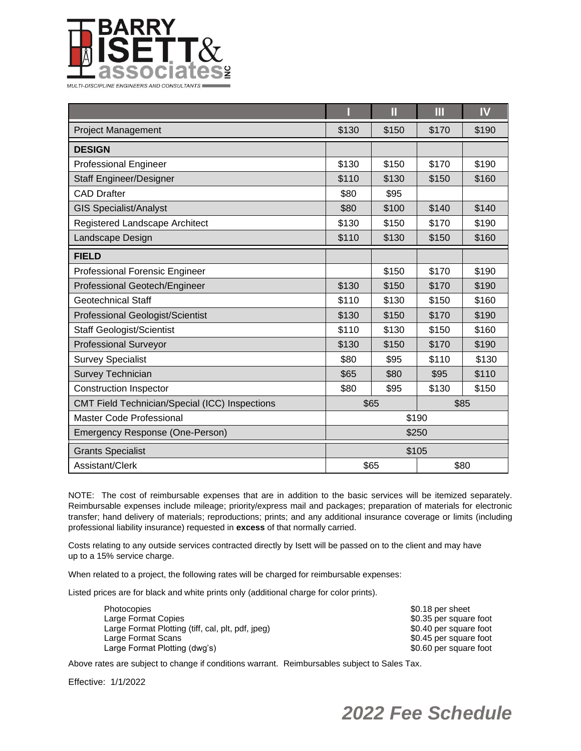

|                                                |              | Ш     | M     | IV    |
|------------------------------------------------|--------------|-------|-------|-------|
| <b>Project Management</b>                      | \$130        | \$150 | \$170 | \$190 |
| <b>DESIGN</b>                                  |              |       |       |       |
| <b>Professional Engineer</b>                   | \$130        | \$150 | \$170 | \$190 |
| <b>Staff Engineer/Designer</b>                 | \$110        | \$130 | \$150 | \$160 |
| <b>CAD Drafter</b>                             | \$80         | \$95  |       |       |
| <b>GIS Specialist/Analyst</b>                  | \$80         | \$100 | \$140 | \$140 |
| Registered Landscape Architect                 | \$130        | \$150 | \$170 | \$190 |
| Landscape Design                               | \$110        | \$130 | \$150 | \$160 |
| <b>FIELD</b>                                   |              |       |       |       |
| <b>Professional Forensic Engineer</b>          |              | \$150 | \$170 | \$190 |
| Professional Geotech/Engineer                  | \$130        | \$150 | \$170 | \$190 |
| <b>Geotechnical Staff</b>                      | \$110        | \$130 | \$150 | \$160 |
| Professional Geologist/Scientist               | \$130        | \$150 | \$170 | \$190 |
| <b>Staff Geologist/Scientist</b>               | \$110        | \$130 | \$150 | \$160 |
| <b>Professional Surveyor</b>                   | \$130        | \$150 | \$170 | \$190 |
| <b>Survey Specialist</b>                       | \$80         | \$95  | \$110 | \$130 |
| <b>Survey Technician</b>                       | \$65         | \$80  | \$95  | \$110 |
| <b>Construction Inspector</b>                  | \$80         | \$95  | \$130 | \$150 |
| CMT Field Technician/Special (ICC) Inspections |              | \$65  |       | \$85  |
| Master Code Professional                       | \$190        |       |       |       |
| Emergency Response (One-Person)                | \$250        |       |       |       |
| \$105<br><b>Grants Specialist</b>              |              |       |       |       |
| Assistant/Clerk                                | \$65<br>\$80 |       |       |       |

NOTE: The cost of reimbursable expenses that are in addition to the basic services will be itemized separately. Reimbursable expenses include mileage; priority/express mail and packages; preparation of materials for electronic transfer; hand delivery of materials; reproductions; prints; and any additional insurance coverage or limits (including professional liability insurance) requested in **excess** of that normally carried.

Costs relating to any outside services contracted directly by Isett will be passed on to the client and may have up to a 15% service charge.

When related to a project, the following rates will be charged for reimbursable expenses:

Listed prices are for black and white prints only (additional charge for color prints).

| Photocopies                                       | \$0.18 per sheet       |
|---------------------------------------------------|------------------------|
| Large Format Copies                               | \$0.35 per square foot |
| Large Format Plotting (tiff, cal, plt, pdf, jpeg) | \$0.40 per square foot |
| Large Format Scans                                | \$0.45 per square foot |
| Large Format Plotting (dwg's)                     | \$0.60 per square foot |

Above rates are subject to change if conditions warrant. Reimbursables subject to Sales Tax.

Effective: 1/1/2022